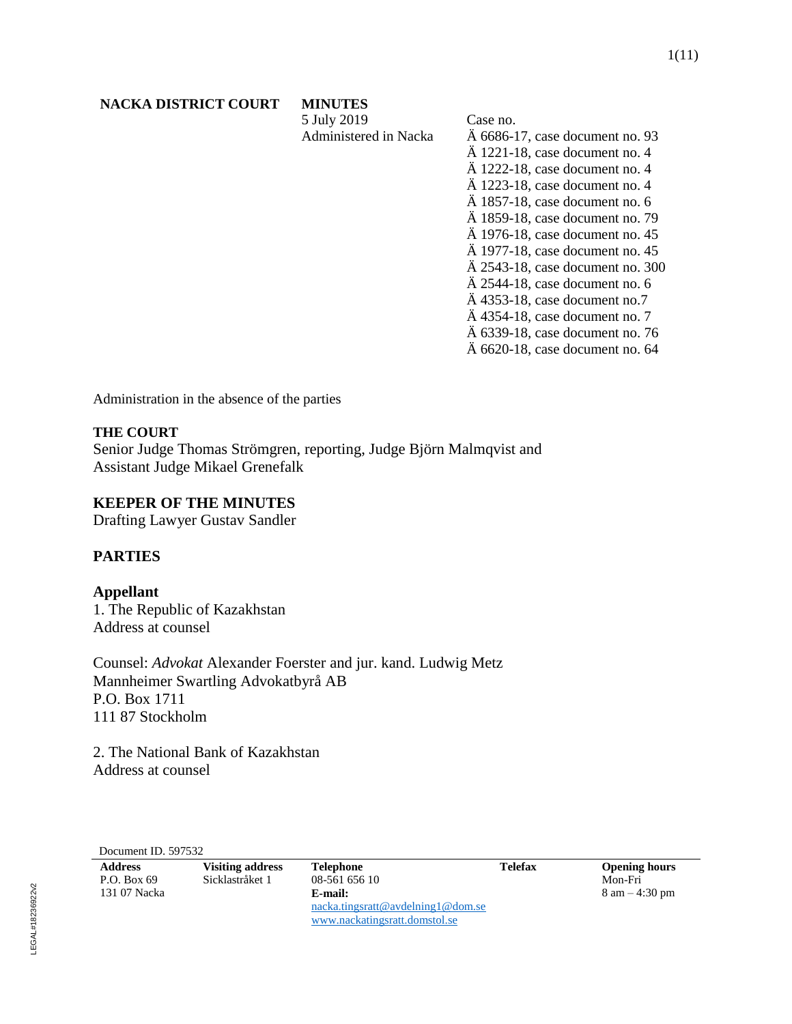5 July 2019 Administered in Nacka Case no. Ä 6686-17, case document no. 93 Ä 1221-18, case document no. 4 Ä 1222-18, case document no. 4 Ä 1223-18, case document no. 4 Ä 1857-18, case document no. 6 Ä 1859-18, case document no. 79 Ä 1976-18, case document no. 45 Ä 1977-18, case document no. 45 Ä 2543-18, case document no. 300 Ä 2544-18, case document no. 6 Ä 4353-18, case document no.7 Ä 4354-18, case document no. 7 Ä 6339-18, case document no. 76 Ä 6620-18, case document no. 64

Administration in the absence of the parties

# **THE COURT**

Senior Judge Thomas Strömgren, reporting, Judge Björn Malmqvist and Assistant Judge Mikael Grenefalk

# **KEEPER OF THE MINUTES**

Drafting Lawyer Gustav Sandler

# **PARTIES**

**Appellant** 1. The Republic of Kazakhstan Address at counsel

Counsel: *Advokat* Alexander Foerster and jur. kand. Ludwig Metz Mannheimer Swartling Advokatbyrå AB P.O. Box 1711 111 87 Stockholm

2. The National Bank of Kazakhstan Address at counsel

Document ID. 597532

| <b>Address</b> | <b>Visiting address</b> | <b>Telephone</b>                  | Telefax | <b>Opening hours</b>             |
|----------------|-------------------------|-----------------------------------|---------|----------------------------------|
| P.O. Box 69    | Sicklastråket 1         | 08-561 656 10                     |         | Mon-Fri                          |
| 131 07 Nacka   |                         | E-mail:                           |         | $8 \text{ am} - 4:30 \text{ pm}$ |
|                |                         | nacka.tingsratt@avdelning1@dom.se |         |                                  |
|                |                         | www.nackatingsratt.domstol.se     |         |                                  |

LEGAL#18236922v2 LEGAL#18236922v2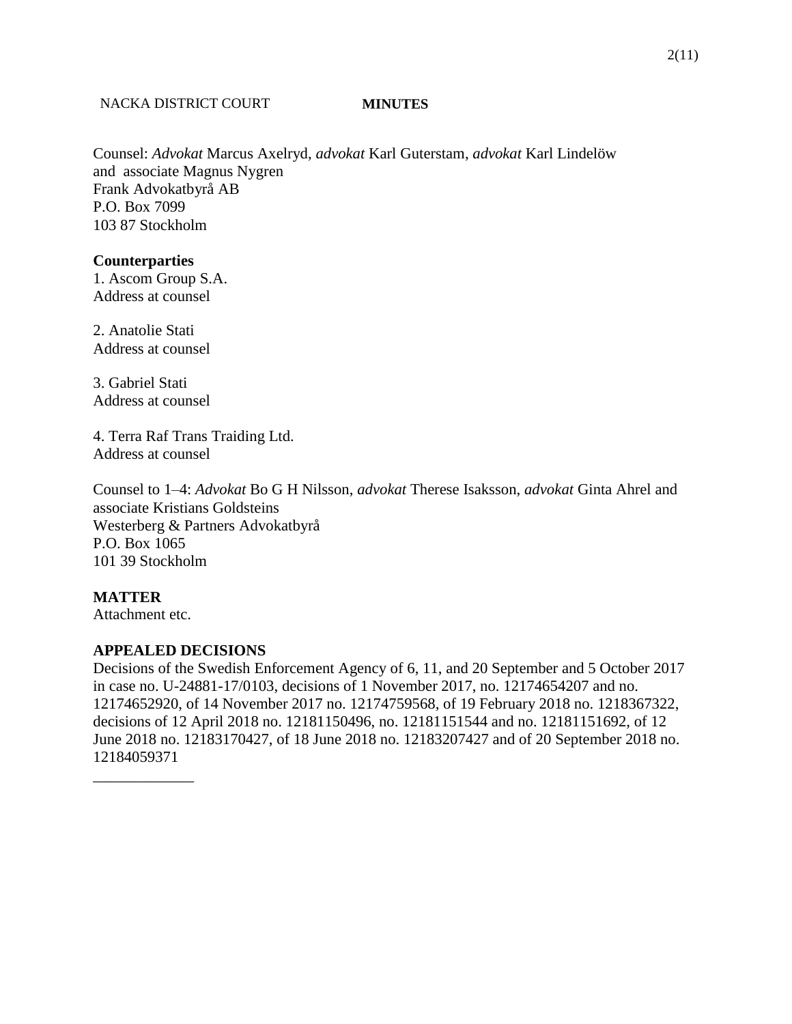# 2(11)

# NACKA DISTRICT COURT **MINUTES**

Counsel: *Advokat* Marcus Axelryd, *advokat* Karl Guterstam, *advokat* Karl Lindelöw and associate Magnus Nygren Frank Advokatbyrå AB P.O. Box 7099 103 87 Stockholm

# **Counterparties**

1. Ascom Group S.A. Address at counsel

2. Anatolie Stati Address at counsel

3. Gabriel Stati Address at counsel

4. Terra Raf Trans Traiding Ltd. Address at counsel

Counsel to 1–4: *Advokat* Bo G H Nilsson, *advokat* Therese Isaksson, *advokat* Ginta Ahrel and associate Kristians Goldsteins Westerberg & Partners Advokatbyrå P.O. Box 1065 101 39 Stockholm

# **MATTER**

Attachment etc.

\_\_\_\_\_\_\_\_\_\_\_\_\_

# **APPEALED DECISIONS**

Decisions of the Swedish Enforcement Agency of 6, 11, and 20 September and 5 October 2017 in case no. U-24881-17/0103, decisions of 1 November 2017, no. 12174654207 and no. 12174652920, of 14 November 2017 no. 12174759568, of 19 February 2018 no. 1218367322, decisions of 12 April 2018 no. 12181150496, no. 12181151544 and no. 12181151692, of 12 June 2018 no. 12183170427, of 18 June 2018 no. 12183207427 and of 20 September 2018 no. 12184059371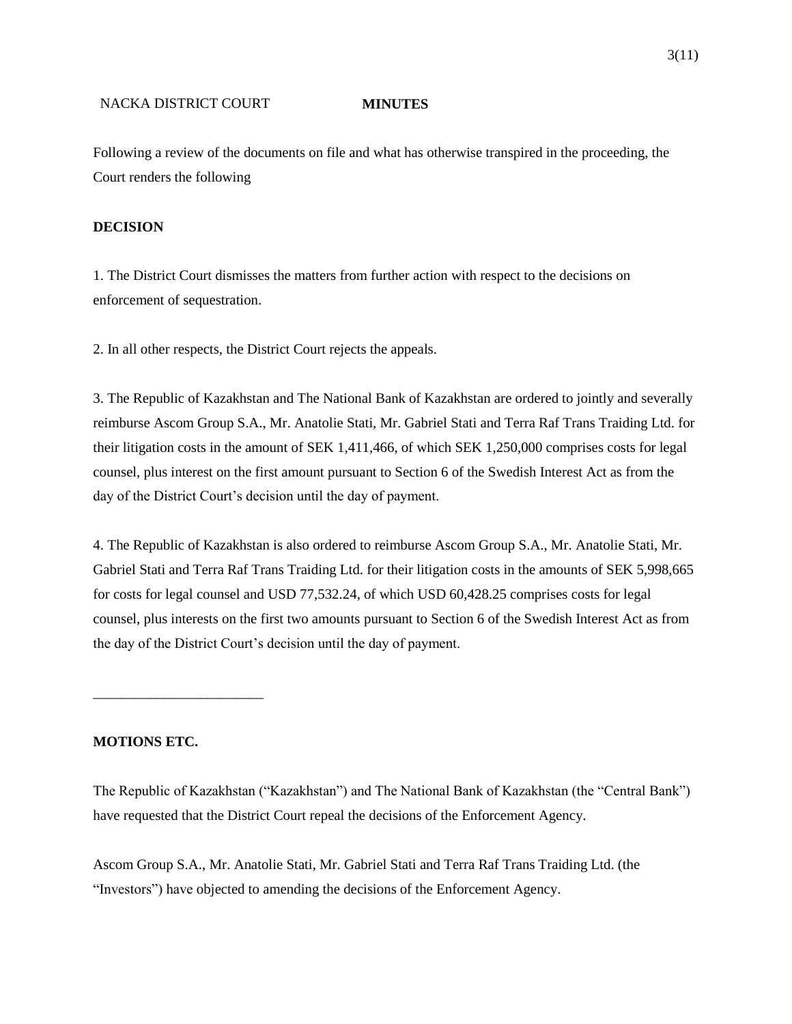Following a review of the documents on file and what has otherwise transpired in the proceeding, the Court renders the following

# **DECISION**

1. The District Court dismisses the matters from further action with respect to the decisions on enforcement of sequestration.

2. In all other respects, the District Court rejects the appeals.

3. The Republic of Kazakhstan and The National Bank of Kazakhstan are ordered to jointly and severally reimburse Ascom Group S.A., Mr. Anatolie Stati, Mr. Gabriel Stati and Terra Raf Trans Traiding Ltd. for their litigation costs in the amount of SEK 1,411,466, of which SEK 1,250,000 comprises costs for legal counsel, plus interest on the first amount pursuant to Section 6 of the Swedish Interest Act as from the day of the District Court's decision until the day of payment.

4. The Republic of Kazakhstan is also ordered to reimburse Ascom Group S.A., Mr. Anatolie Stati, Mr. Gabriel Stati and Terra Raf Trans Traiding Ltd. for their litigation costs in the amounts of SEK 5,998,665 for costs for legal counsel and USD 77,532.24, of which USD 60,428.25 comprises costs for legal counsel, plus interests on the first two amounts pursuant to Section 6 of the Swedish Interest Act as from the day of the District Court's decision until the day of payment.

# **MOTIONS ETC.**

\_\_\_\_\_\_\_\_\_\_\_\_\_\_\_\_\_\_\_\_\_\_\_\_

The Republic of Kazakhstan ("Kazakhstan") and The National Bank of Kazakhstan (the "Central Bank") have requested that the District Court repeal the decisions of the Enforcement Agency.

Ascom Group S.A., Mr. Anatolie Stati, Mr. Gabriel Stati and Terra Raf Trans Traiding Ltd. (the "Investors") have objected to amending the decisions of the Enforcement Agency.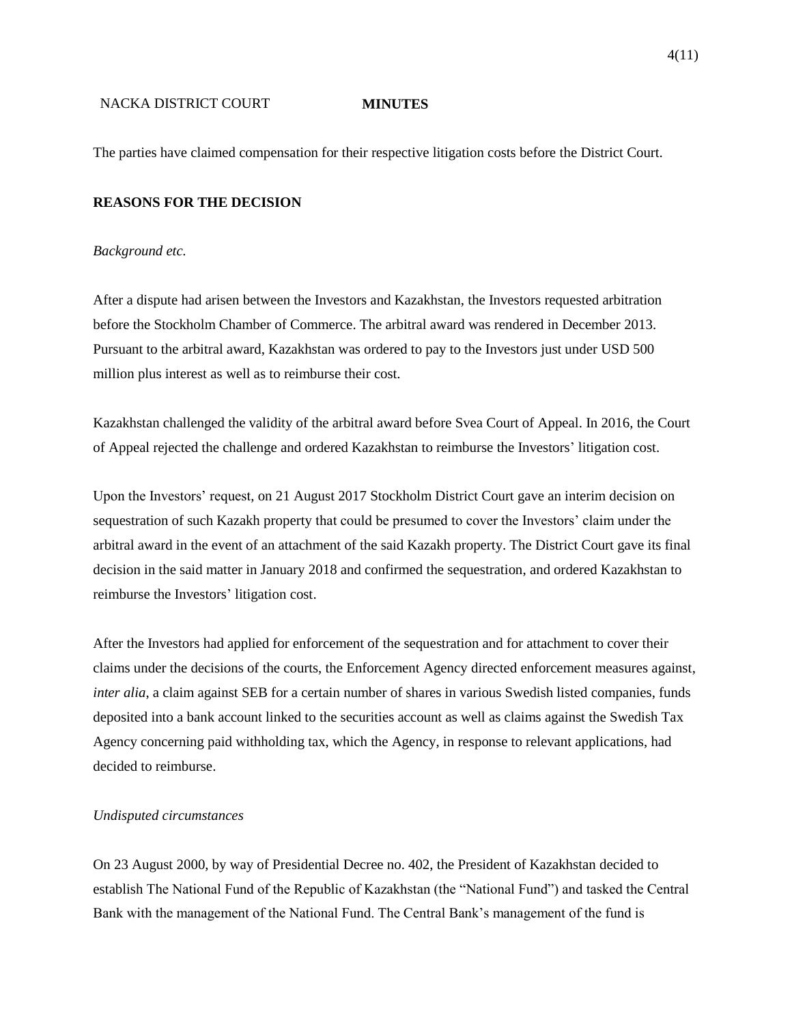The parties have claimed compensation for their respective litigation costs before the District Court.

# **REASONS FOR THE DECISION**

## *Background etc.*

After a dispute had arisen between the Investors and Kazakhstan, the Investors requested arbitration before the Stockholm Chamber of Commerce. The arbitral award was rendered in December 2013. Pursuant to the arbitral award, Kazakhstan was ordered to pay to the Investors just under USD 500 million plus interest as well as to reimburse their cost.

Kazakhstan challenged the validity of the arbitral award before Svea Court of Appeal. In 2016, the Court of Appeal rejected the challenge and ordered Kazakhstan to reimburse the Investors' litigation cost.

Upon the Investors' request, on 21 August 2017 Stockholm District Court gave an interim decision on sequestration of such Kazakh property that could be presumed to cover the Investors' claim under the arbitral award in the event of an attachment of the said Kazakh property. The District Court gave its final decision in the said matter in January 2018 and confirmed the sequestration, and ordered Kazakhstan to reimburse the Investors' litigation cost.

After the Investors had applied for enforcement of the sequestration and for attachment to cover their claims under the decisions of the courts, the Enforcement Agency directed enforcement measures against, *inter alia*, a claim against SEB for a certain number of shares in various Swedish listed companies, funds deposited into a bank account linked to the securities account as well as claims against the Swedish Tax Agency concerning paid withholding tax, which the Agency, in response to relevant applications, had decided to reimburse.

# *Undisputed circumstances*

On 23 August 2000, by way of Presidential Decree no. 402, the President of Kazakhstan decided to establish The National Fund of the Republic of Kazakhstan (the "National Fund") and tasked the Central Bank with the management of the National Fund. The Central Bank's management of the fund is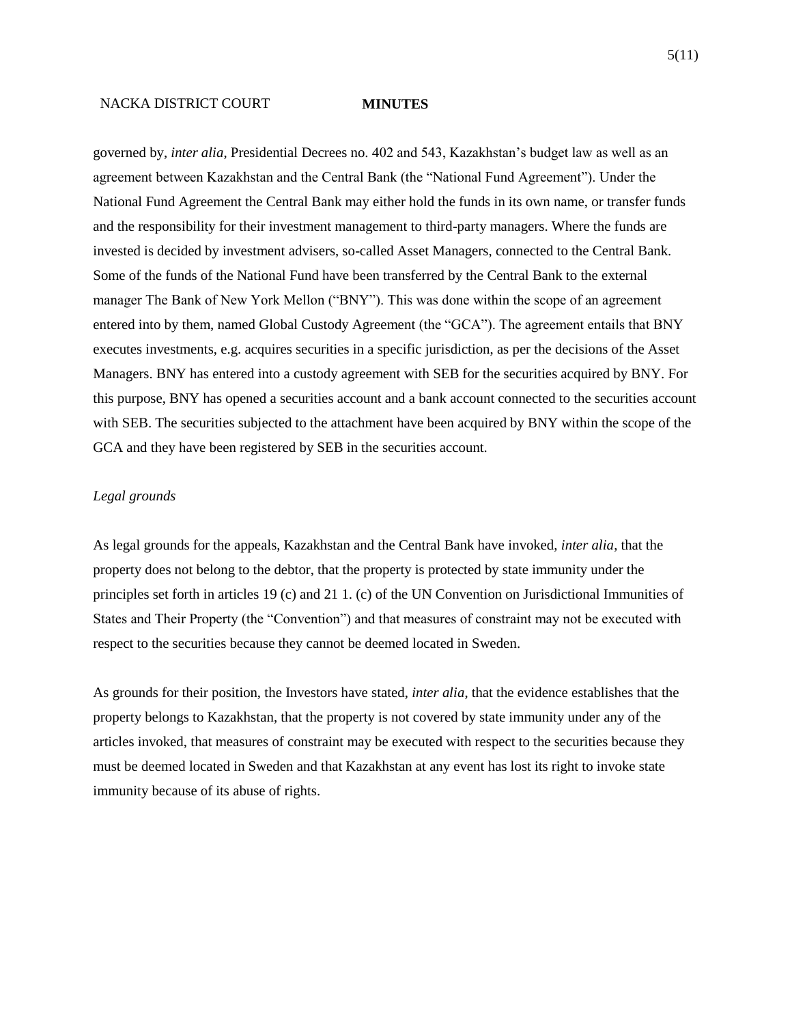governed by, *inter alia*, Presidential Decrees no. 402 and 543, Kazakhstan's budget law as well as an agreement between Kazakhstan and the Central Bank (the "National Fund Agreement"). Under the National Fund Agreement the Central Bank may either hold the funds in its own name, or transfer funds and the responsibility for their investment management to third-party managers. Where the funds are invested is decided by investment advisers, so-called Asset Managers, connected to the Central Bank. Some of the funds of the National Fund have been transferred by the Central Bank to the external manager The Bank of New York Mellon ("BNY"). This was done within the scope of an agreement entered into by them, named Global Custody Agreement (the "GCA"). The agreement entails that BNY executes investments, e.g. acquires securities in a specific jurisdiction, as per the decisions of the Asset Managers. BNY has entered into a custody agreement with SEB for the securities acquired by BNY. For this purpose, BNY has opened a securities account and a bank account connected to the securities account with SEB. The securities subjected to the attachment have been acquired by BNY within the scope of the GCA and they have been registered by SEB in the securities account.

# *Legal grounds*

As legal grounds for the appeals, Kazakhstan and the Central Bank have invoked, *inter alia*, that the property does not belong to the debtor, that the property is protected by state immunity under the principles set forth in articles 19 (c) and 21 1. (c) of the UN Convention on Jurisdictional Immunities of States and Their Property (the "Convention") and that measures of constraint may not be executed with respect to the securities because they cannot be deemed located in Sweden.

As grounds for their position, the Investors have stated, *inter alia*, that the evidence establishes that the property belongs to Kazakhstan, that the property is not covered by state immunity under any of the articles invoked, that measures of constraint may be executed with respect to the securities because they must be deemed located in Sweden and that Kazakhstan at any event has lost its right to invoke state immunity because of its abuse of rights.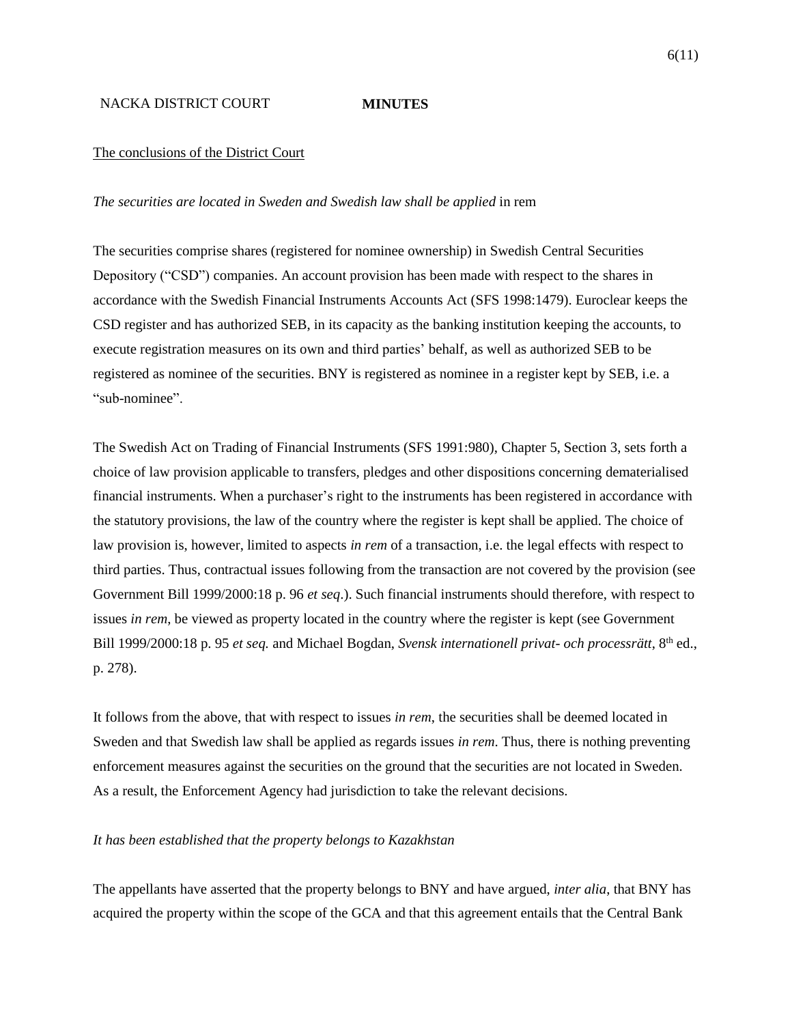### The conclusions of the District Court

## *The securities are located in Sweden and Swedish law shall be applied* in rem

The securities comprise shares (registered for nominee ownership) in Swedish Central Securities Depository ("CSD") companies. An account provision has been made with respect to the shares in accordance with the Swedish Financial Instruments Accounts Act (SFS 1998:1479). Euroclear keeps the CSD register and has authorized SEB, in its capacity as the banking institution keeping the accounts, to execute registration measures on its own and third parties' behalf, as well as authorized SEB to be registered as nominee of the securities. BNY is registered as nominee in a register kept by SEB, i.e. a "sub-nominee".

The Swedish Act on Trading of Financial Instruments (SFS 1991:980), Chapter 5, Section 3, sets forth a choice of law provision applicable to transfers, pledges and other dispositions concerning dematerialised financial instruments. When a purchaser's right to the instruments has been registered in accordance with the statutory provisions, the law of the country where the register is kept shall be applied. The choice of law provision is, however, limited to aspects *in rem* of a transaction, i.e. the legal effects with respect to third parties. Thus, contractual issues following from the transaction are not covered by the provision (see Government Bill 1999/2000:18 p. 96 *et seq*.). Such financial instruments should therefore, with respect to issues *in rem*, be viewed as property located in the country where the register is kept (see Government Bill 1999/2000:18 p. 95 *et seq.* and Michael Bogdan, *Svensk internationell privat- och processrätt*, 8th ed., p. 278).

It follows from the above, that with respect to issues *in rem*, the securities shall be deemed located in Sweden and that Swedish law shall be applied as regards issues *in rem*. Thus, there is nothing preventing enforcement measures against the securities on the ground that the securities are not located in Sweden. As a result, the Enforcement Agency had jurisdiction to take the relevant decisions.

# *It has been established that the property belongs to Kazakhstan*

The appellants have asserted that the property belongs to BNY and have argued, *inter alia*, that BNY has acquired the property within the scope of the GCA and that this agreement entails that the Central Bank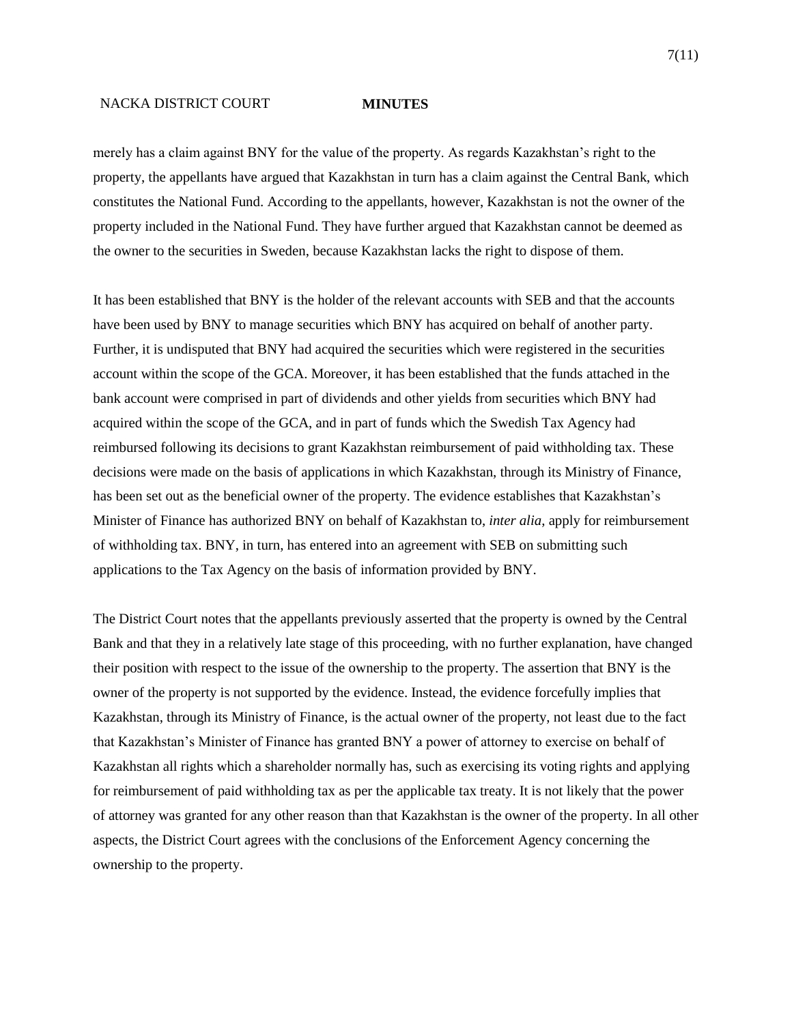merely has a claim against BNY for the value of the property. As regards Kazakhstan's right to the property, the appellants have argued that Kazakhstan in turn has a claim against the Central Bank, which constitutes the National Fund. According to the appellants, however, Kazakhstan is not the owner of the property included in the National Fund. They have further argued that Kazakhstan cannot be deemed as the owner to the securities in Sweden, because Kazakhstan lacks the right to dispose of them.

It has been established that BNY is the holder of the relevant accounts with SEB and that the accounts have been used by BNY to manage securities which BNY has acquired on behalf of another party. Further, it is undisputed that BNY had acquired the securities which were registered in the securities account within the scope of the GCA. Moreover, it has been established that the funds attached in the bank account were comprised in part of dividends and other yields from securities which BNY had acquired within the scope of the GCA, and in part of funds which the Swedish Tax Agency had reimbursed following its decisions to grant Kazakhstan reimbursement of paid withholding tax. These decisions were made on the basis of applications in which Kazakhstan, through its Ministry of Finance, has been set out as the beneficial owner of the property. The evidence establishes that Kazakhstan's Minister of Finance has authorized BNY on behalf of Kazakhstan to, *inter alia*, apply for reimbursement of withholding tax. BNY, in turn, has entered into an agreement with SEB on submitting such applications to the Tax Agency on the basis of information provided by BNY.

The District Court notes that the appellants previously asserted that the property is owned by the Central Bank and that they in a relatively late stage of this proceeding, with no further explanation, have changed their position with respect to the issue of the ownership to the property. The assertion that BNY is the owner of the property is not supported by the evidence. Instead, the evidence forcefully implies that Kazakhstan, through its Ministry of Finance, is the actual owner of the property, not least due to the fact that Kazakhstan's Minister of Finance has granted BNY a power of attorney to exercise on behalf of Kazakhstan all rights which a shareholder normally has, such as exercising its voting rights and applying for reimbursement of paid withholding tax as per the applicable tax treaty. It is not likely that the power of attorney was granted for any other reason than that Kazakhstan is the owner of the property. In all other aspects, the District Court agrees with the conclusions of the Enforcement Agency concerning the ownership to the property.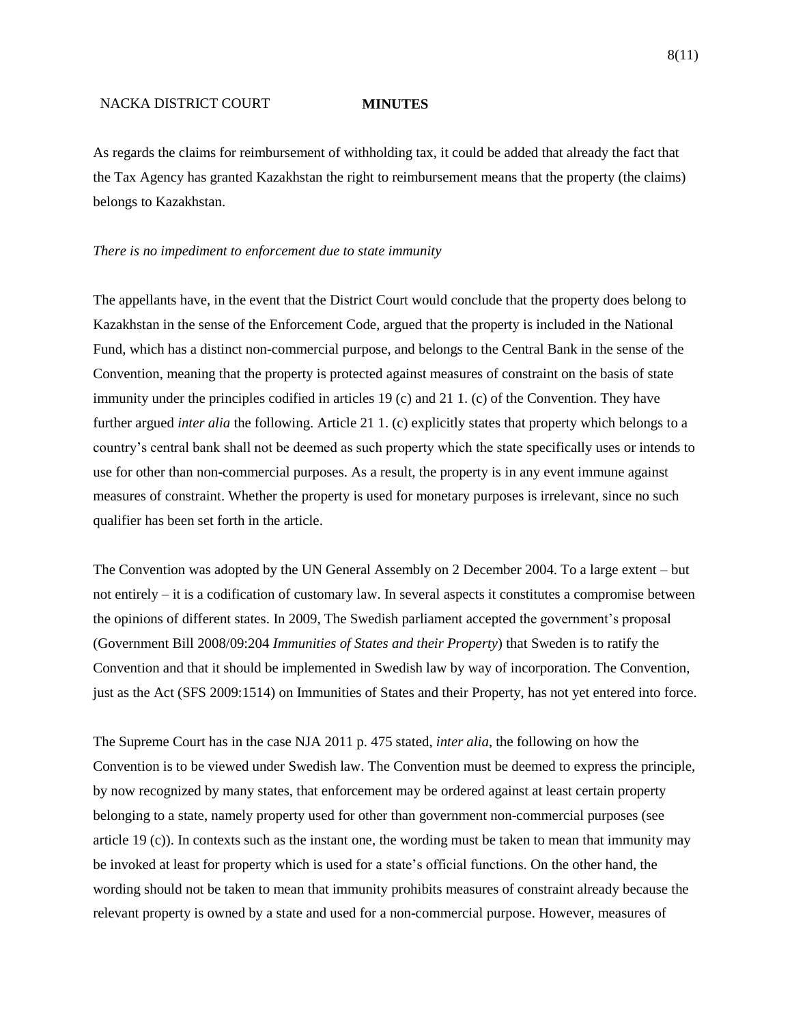As regards the claims for reimbursement of withholding tax, it could be added that already the fact that the Tax Agency has granted Kazakhstan the right to reimbursement means that the property (the claims) belongs to Kazakhstan.

## *There is no impediment to enforcement due to state immunity*

The appellants have, in the event that the District Court would conclude that the property does belong to Kazakhstan in the sense of the Enforcement Code, argued that the property is included in the National Fund, which has a distinct non-commercial purpose, and belongs to the Central Bank in the sense of the Convention, meaning that the property is protected against measures of constraint on the basis of state immunity under the principles codified in articles 19 (c) and 21 1. (c) of the Convention. They have further argued *inter alia* the following. Article 21 1. (c) explicitly states that property which belongs to a country's central bank shall not be deemed as such property which the state specifically uses or intends to use for other than non-commercial purposes. As a result, the property is in any event immune against measures of constraint. Whether the property is used for monetary purposes is irrelevant, since no such qualifier has been set forth in the article.

The Convention was adopted by the UN General Assembly on 2 December 2004. To a large extent – but not entirely – it is a codification of customary law. In several aspects it constitutes a compromise between the opinions of different states. In 2009, The Swedish parliament accepted the government's proposal (Government Bill 2008/09:204 *Immunities of States and their Property*) that Sweden is to ratify the Convention and that it should be implemented in Swedish law by way of incorporation. The Convention, just as the Act (SFS 2009:1514) on Immunities of States and their Property, has not yet entered into force.

The Supreme Court has in the case NJA 2011 p. 475 stated, *inter alia*, the following on how the Convention is to be viewed under Swedish law. The Convention must be deemed to express the principle, by now recognized by many states, that enforcement may be ordered against at least certain property belonging to a state, namely property used for other than government non-commercial purposes (see article 19 (c)). In contexts such as the instant one, the wording must be taken to mean that immunity may be invoked at least for property which is used for a state's official functions. On the other hand, the wording should not be taken to mean that immunity prohibits measures of constraint already because the relevant property is owned by a state and used for a non-commercial purpose. However, measures of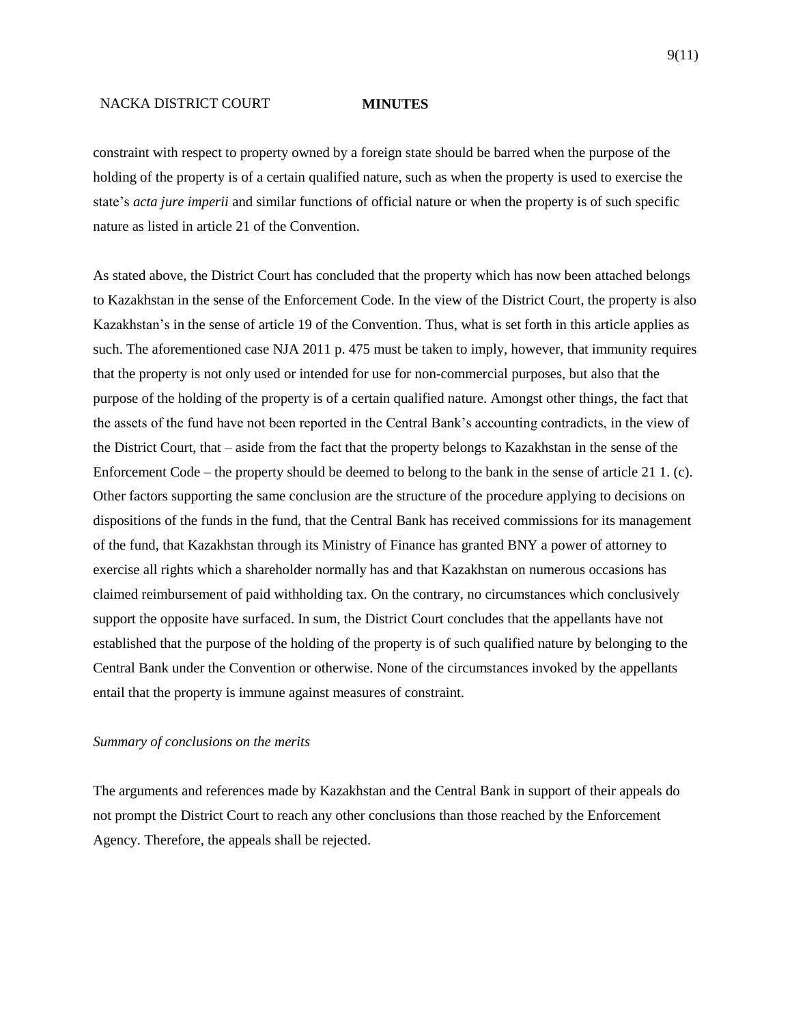constraint with respect to property owned by a foreign state should be barred when the purpose of the holding of the property is of a certain qualified nature, such as when the property is used to exercise the state's *acta jure imperii* and similar functions of official nature or when the property is of such specific nature as listed in article 21 of the Convention.

As stated above, the District Court has concluded that the property which has now been attached belongs to Kazakhstan in the sense of the Enforcement Code. In the view of the District Court, the property is also Kazakhstan's in the sense of article 19 of the Convention. Thus, what is set forth in this article applies as such. The aforementioned case NJA 2011 p. 475 must be taken to imply, however, that immunity requires that the property is not only used or intended for use for non-commercial purposes, but also that the purpose of the holding of the property is of a certain qualified nature. Amongst other things, the fact that the assets of the fund have not been reported in the Central Bank's accounting contradicts, in the view of the District Court, that – aside from the fact that the property belongs to Kazakhstan in the sense of the Enforcement Code – the property should be deemed to belong to the bank in the sense of article 21 1. (c). Other factors supporting the same conclusion are the structure of the procedure applying to decisions on dispositions of the funds in the fund, that the Central Bank has received commissions for its management of the fund, that Kazakhstan through its Ministry of Finance has granted BNY a power of attorney to exercise all rights which a shareholder normally has and that Kazakhstan on numerous occasions has claimed reimbursement of paid withholding tax. On the contrary, no circumstances which conclusively support the opposite have surfaced. In sum, the District Court concludes that the appellants have not established that the purpose of the holding of the property is of such qualified nature by belonging to the Central Bank under the Convention or otherwise. None of the circumstances invoked by the appellants entail that the property is immune against measures of constraint.

## *Summary of conclusions on the merits*

The arguments and references made by Kazakhstan and the Central Bank in support of their appeals do not prompt the District Court to reach any other conclusions than those reached by the Enforcement Agency. Therefore, the appeals shall be rejected.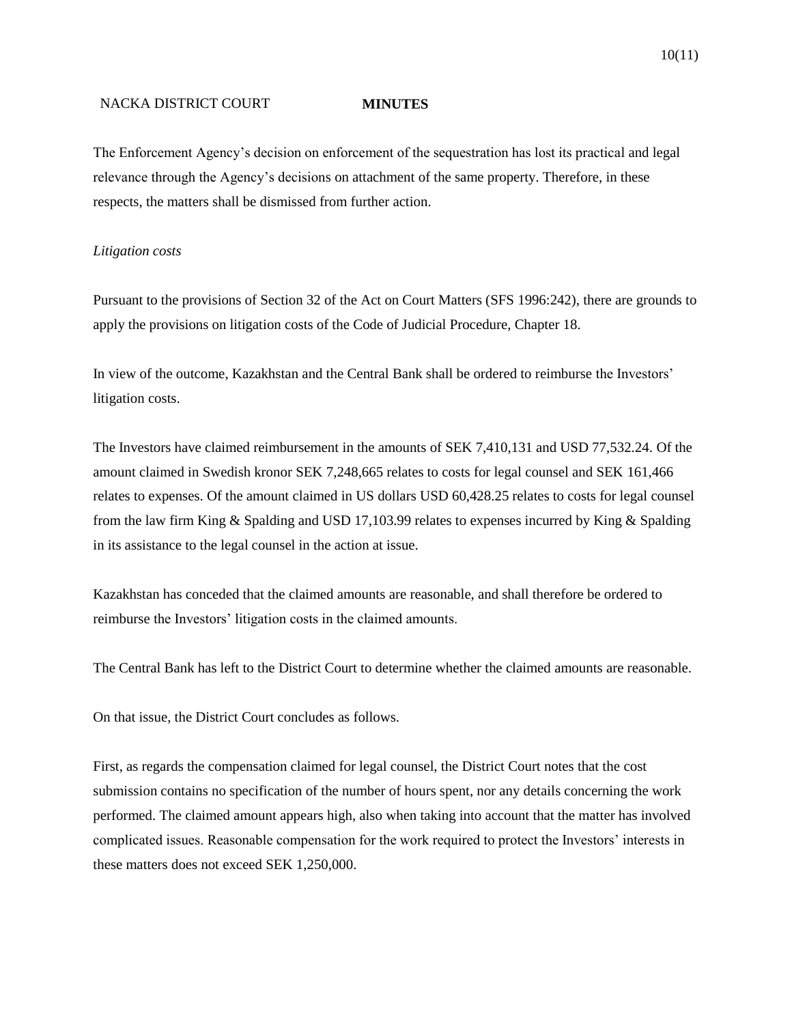The Enforcement Agency's decision on enforcement of the sequestration has lost its practical and legal relevance through the Agency's decisions on attachment of the same property. Therefore, in these respects, the matters shall be dismissed from further action.

## *Litigation costs*

Pursuant to the provisions of Section 32 of the Act on Court Matters (SFS 1996:242), there are grounds to apply the provisions on litigation costs of the Code of Judicial Procedure, Chapter 18.

In view of the outcome, Kazakhstan and the Central Bank shall be ordered to reimburse the Investors' litigation costs.

The Investors have claimed reimbursement in the amounts of SEK 7,410,131 and USD 77,532.24. Of the amount claimed in Swedish kronor SEK 7,248,665 relates to costs for legal counsel and SEK 161,466 relates to expenses. Of the amount claimed in US dollars USD 60,428.25 relates to costs for legal counsel from the law firm King & Spalding and USD 17,103.99 relates to expenses incurred by King & Spalding in its assistance to the legal counsel in the action at issue.

Kazakhstan has conceded that the claimed amounts are reasonable, and shall therefore be ordered to reimburse the Investors' litigation costs in the claimed amounts.

The Central Bank has left to the District Court to determine whether the claimed amounts are reasonable.

On that issue, the District Court concludes as follows.

First, as regards the compensation claimed for legal counsel, the District Court notes that the cost submission contains no specification of the number of hours spent, nor any details concerning the work performed. The claimed amount appears high, also when taking into account that the matter has involved complicated issues. Reasonable compensation for the work required to protect the Investors' interests in these matters does not exceed SEK 1,250,000.